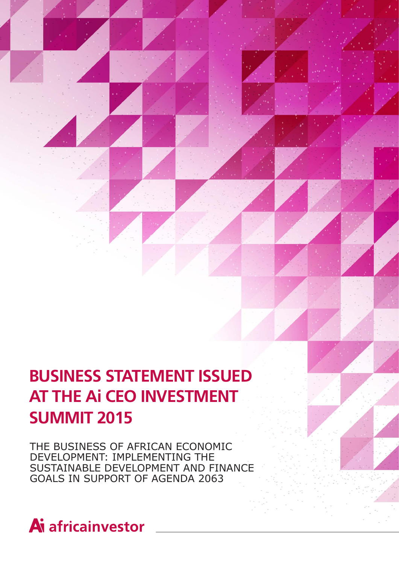# **BUSINESS STATEMENT ISSUED AT THE Ai CEO INVESTMENT SUMMIT 2015**

THE BUSINESS OF AFRICAN ECONOMIC DEVELOPMENT: IMPLEMENTING THE SUSTAINABLE DEVELOPMENT AND FINANCE GOALS IN SUPPORT OF AGENDA 2063

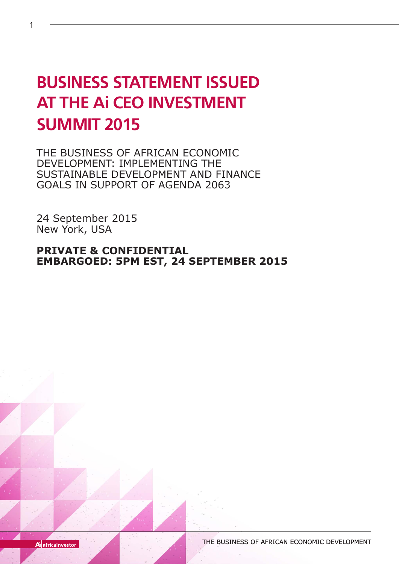# **BUSINESS STATEMENT ISSUED AT THE Ai CEO INVESTMENT SUMMIT 2015**

THE BUSINESS OF AFRICAN ECONOMIC DEVELOPMENT: IMPLEMENTING THE SUSTAINABLE DEVELOPMENT AND FINANCE GOALS IN SUPPORT OF AGENDA 2063

24 September 2015 New York, USA

**PRIVATE & CONFIDENTIAL EMBARGOED: 5PM EST, 24 SEPTEMBER 2015**

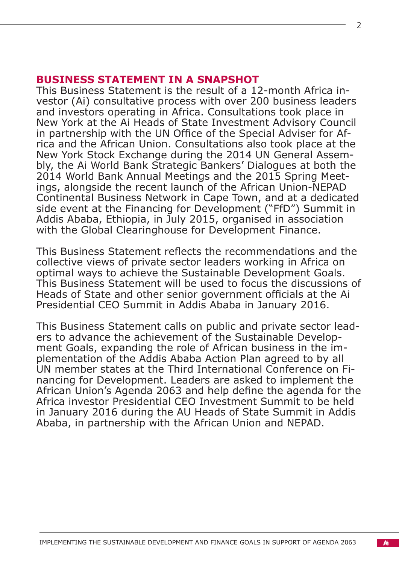### **BUSINESS STATEMENT IN A SNAPSHOT**

This Business Statement is the result of a 12-month Africa investor (Ai) consultative process with over 200 business leaders and investors operating in Africa. Consultations took place in New York at the Ai Heads of State Investment Advisory Council in partnership with the UN Office of the Special Adviser for Africa and the African Union. Consultations also took place at the New York Stock Exchange during the 2014 UN General Assembly, the Ai World Bank Strategic Bankers' Dialogues at both the 2014 World Bank Annual Meetings and the 2015 Spring Meetings, alongside the recent launch of the African Union-NEPAD Continental Business Network in Cape Town, and at a dedicated side event at the Financing for Development ("FfD") Summit in Addis Ababa, Ethiopia, in July 2015, organised in association with the Global Clearinghouse for Development Finance.

This Business Statement reflects the recommendations and the collective views of private sector leaders working in Africa on optimal ways to achieve the Sustainable Development Goals. This Business Statement will be used to focus the discussions of Heads of State and other senior government officials at the Ai Presidential CEO Summit in Addis Ababa in January 2016.

This Business Statement calls on public and private sector leaders to advance the achievement of the Sustainable Development Goals, expanding the role of African business in the implementation of the Addis Ababa Action Plan agreed to by all UN member states at the Third International Conference on Financing for Development. Leaders are asked to implement the African Union's Agenda 2063 and help define the agenda for the Africa investor Presidential CEO Investment Summit to be held in January 2016 during the AU Heads of State Summit in Addis Ababa, in partnership with the African Union and NEPAD.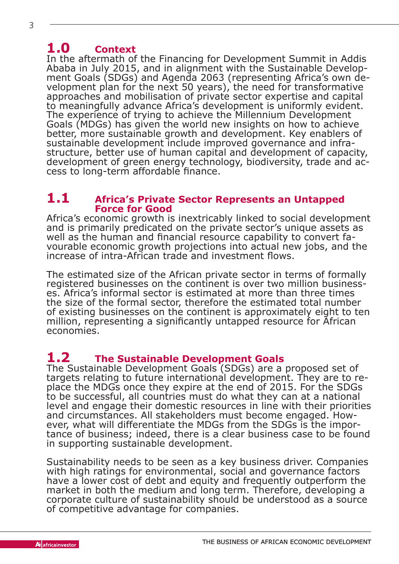## **1.0 Context**

In the aftermath of the Financing for Development Summit in Addis Ababa in July 2015, and in alignment with the Sustainable Development Goals (SDGs) and Agenda 2063 (representing Africa's own development plan for the next 50 years), the need for transformative approaches and mobilisation of private sector expertise and capital to meaningfully advance Africa's development is uniformly evident. The experience of trying to achieve the Millennium Development Goals (MDGs) has given the world new insights on how to achieve better, more sustainable growth and development. Key enablers of sustainable development include improved governance and infrastructure, better use of human capital and development of capacity, development of green energy technology, biodiversity, trade and access to long-term affordable finance.

# **1.1 Africa's Private Sector Represents an Untapped Force for Good**

Africa's economic growth is inextricably linked to social development and is primarily predicated on the private sector's unique assets as well as the human and financial resource capability to convert favourable economic growth projections into actual new jobs, and the increase of intra-African trade and investment flows.

The estimated size of the African private sector in terms of formally registered businesses on the continent is over two million businesses. Africa's informal sector is estimated at more than three times the size of the formal sector, therefore the estimated total number of existing businesses on the continent is approximately eight to ten million, representing a significantly untapped resource for African economies.

## **1.2 The Sustainable Development Goals**

The Sustainable Development Goals (SDGs) are a proposed set of targets relating to future international development. They are to replace the MDGs once they expire at the end of 2015. For the SDGs to be successful, all countries must do what they can at a national level and engage their domestic resources in line with their priorities<br>and circumstances. All stakeholders must become engaged. However, what will differentiate the MDGs from the SDGs is the impor-<br>tance of business; indeed, there is a clear business case to be found in supporting sustainable development.

Sustainability needs to be seen as a key business driver. Companies with high ratings for environmental, social and governance factors have a lower cost of debt and equity and frequently outperform the market in both the medium and long term. Therefore, developing a corporate culture of sustainability should be understood as a source of competitive advantage for companies.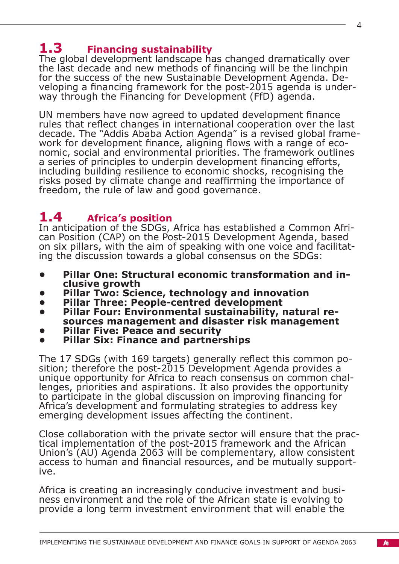# **1.3 Financing sustainability**

The global development landscape has changed dramatically over the last decade and new methods of financing will be the linchpin for the success of the new Sustainable Development Agenda. Developing a financing framework for the post-2015 agenda is underway through the Financing for Development (FfD) agenda.

UN members have now agreed to updated development finance rules that reflect changes in international cooperation over the last decade. The "Addis Ababa Action Agenda" is a revised global framework for development finance, aligning flows with a range of economic, social and environmental priorities. The framework outlines a series of principles to underpin development financing efforts, including building resilience to economic shocks, recognising the risks posed by climate change and reaffirming the importance of freedom, the rule of law and good governance.

## **1.4 Africa's position**

In anticipation of the SDGs, Africa has established a Common African Position (CAP) on the Post-2015 Development Agenda, based on six pillars, with the aim of speaking with one voice and facilitating the discussion towards a global consensus on the SDGs:

- **Pillar One: Structural economic transformation and inclusive growth**
- **• Pillar Two: Science, technology and innovation**
- **Pillar Three: People-centred development**
- **Pillar Four: Environmental sustainability, natural resources management and disaster risk management**
- **• Pillar Five: Peace and security**
- **Pillar Six: Finance and partnerships**

The 17 SDGs (with 169 targets) generally reflect this common position; therefore the post-2015 Development Agenda provides a unique opportunity for Africa to reach consensus on common challenges, priorities and aspirations. It also provides the opportunity to participate in the global discussion on improving financing for Africa's development and formulating strategies to address key emerging development issues affecting the continent.

Close collaboration with the private sector will ensure that the prac- tical implementation of the post-2015 framework and the African Union's (AU) Agenda 2063 will be complementary, allow consistent access to human and financial resources, and be mutually support-<br>ive.

Africa is creating an increasingly conducive investment and business environment and the role of the African state is evolving to provide a long term investment environment that will enable the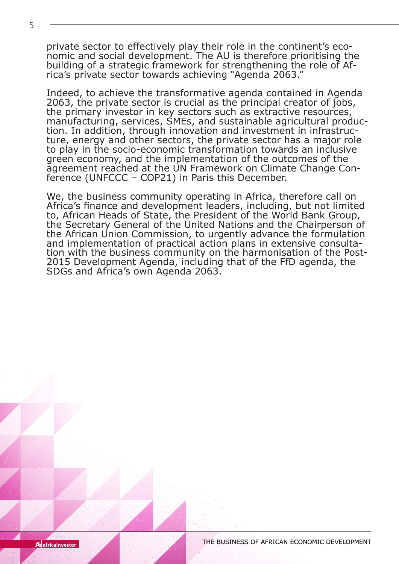private sector to effectively play their role in the continent's economic and social development. The AU is therefore prioritising the building of a strategic framework for strengthening the role of Africa's private sector towards achieving "Agenda 2063."

Indeed, to achieve the transformative agenda contained in Agenda 2063, the private sector is crucial as the principal creator of jobs, the primary investor in key sectors such as extractive resources, manufacturing, services, SMEs, and sustainable agricultural production. In addition, through innovation and investment in infrastructure, energy and other sectors, the private sector has a major role to play in the socio-economic transformation towards an inclusive green economy, and the implementation of the outcomes of the agreement reached at the UN Framework on Climate Change Conference (UNFCCC – COP21) in Paris this December.

We, the business community operating in Africa, therefore call on Africa's finance and development leaders, including, but not limited to, African Heads of State, the President of the World Bank Group, the Secretary General of the United Nations and the Chairperson of the African Union Commission, to urgently advance the formulation and implementation of practical action plans in extensive consulta- tion with the business community on the harmonisation of the Post-2015 Development Agenda, including that of the FfD agenda, the SDGs and Africa's own Agenda 2063.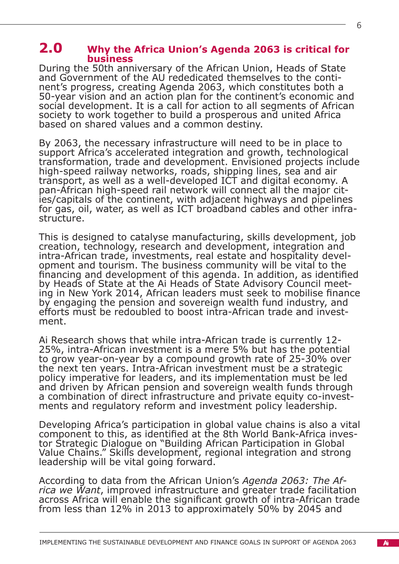#### **2.0 Why the Africa Union's Agenda 2063 is critical for business**

During the 50th anniversary of the African Union, Heads of State and Government of the AU rededicated themselves to the continent's progress, creating Agenda 2063, which constitutes both a 50-year vision and an action plan for the continent's economic and social development. It is a call for action to all segments of African society to work together to build a prosperous and united Africa based on shared values and a common destiny.

By 2063, the necessary infrastructure will need to be in place to support Africa's accelerated integration and growth, technological transformation, trade and development. Envisioned projects include high-speed railway networks, roads, shipping lines, sea and air transport, as well as a well-developed ICT and digital economy. A ies/capitals of the continent, with adjacent highways and pipelines for gas, oil, water, as well as ICT broadband cables and other infra-<br>structure.

This is designed to catalyse manufacturing, skills development, job creation, technology, research and development, integration and intra-African trade, investments, real estate and hospitality development and tourism. The business community will be vital to the financing and development of this agenda. In addition, as identified by Heads of State at the Ai Heads of State Advisory Council meeting in New York 2014, African leaders must seek to mobilise finance by engaging the pension and sovereign wealth fund industry, and efforts must be redoubled to boost intra-African trade and investment.

Ai Research shows that while intra-African trade is currently 12- 25%, intra-African investment is a mere 5% but has the potential to grow year-on-year by a compound growth rate of 25-30% over the next ten years. Intra-African investment must be a strategic policy imperative for leaders, and its implementation must be led and driven by African pension and sovereign wealth funds through a combination of direct infrastructure and private equity co-invest- ments and regulatory reform and investment policy leadership.

Developing Africa's participation in global value chains is also a vital component to this, as identified at the 8th World Bank-Africa inves- tor Strategic Dialogue on "Building African Participation in Global Value Chains." Skills development, regional integration and strong leadership will be vital going forward.

According to data from the African Union's *Agenda 2063: The Af- rica we Want*, improved infrastructure and greater trade facilitation across Africa will enable the significant growth of intra-African trade from less than 12% in 2013 to approximately 50% by 2045 and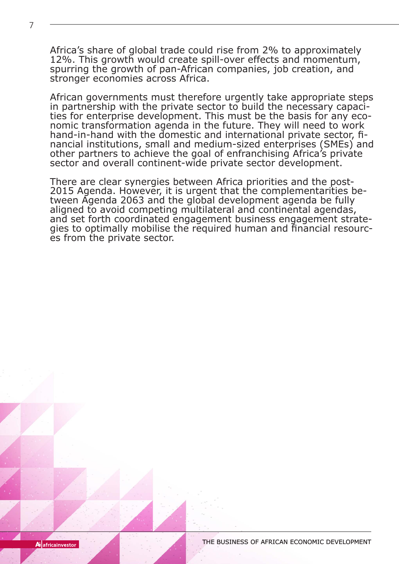Africa's share of global trade could rise from 2% to approximately 12%. This growth would create spill-over effects and momentum, spurring the growth of pan-African companies, job creation, and stronger economies across Africa.

African governments must therefore urgently take appropriate steps<br>in partnership with the private sector to build the necessary capacities for enterprise development. This must be the basis for any eco-<br>nomic transformation agenda in the future. They will need to work<br>hand-in-hand with the domestic and international private sector, fihancial institutions, small and medium-sized enterprises (SMEs) and other partners to achieve the goal of enfranchising Africa's private sector and overall continent-wide private sector development.

There are clear synergies between Africa priorities and the post-<br>2015 Agenda. However, it is urgent that the complementarities between Agenda 2063 and the global development agenda be fully aligned to avoid competing multilateral and continental agendas, and set forth coordinated engagement business engagement strate- gies to optimally mobilise the required human and financial resourc- es from the private sector.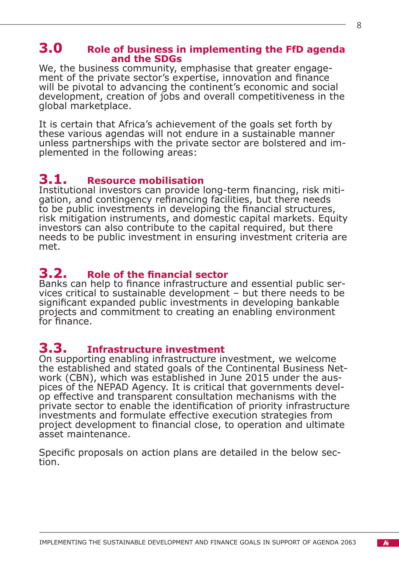#### **3.0 Role of business in implementing the FfD agenda and the SDGs**

We, the business community, emphasise that greater engagement of the private sector's expertise, innovation and finance will be pivotal to advancing the continent's economic and social development, creation of jobs and overall competitiveness in the global marketplace.

It is certain that Africa's achievement of the goals set forth by these various agendas will not endure in a sustainable manner unless partnerships with the private sector are bolstered and implemented in the following areas:

**3.1. Resource mobilisation** gation, and contingency refinancing facilities, but there needs to be public investments in developing the financial structures, risk mitigation instruments, and domestic capital markets. Equity investors can also contribute to the capital required, but there needs to be public investment in ensuring investment criteria are met.

# **3.2. Role of the financial sector**

Banks can help to finance infrastructure and essential public services critical to sustainable development – but there needs to be significant expanded public investments in developing bankable projects and commitment to creating an enabling environment for finance.

# **3.3. Infrastructure investment**

On supporting enabling infrastructure investment, we welcome the established and stated goals of the Continental Business Network (CBN), which was established in June 2015 under the auspices of the NEPAD Agency. It is critical that governments develop effective and transparent consultation mechanisms with the private sector to enable the identification of priority infrastructure investments and formulate effective execution strategies from project development to financial close, to operation and ultimate asset maintenance.

Specific proposals on action plans are detailed in the below sec- tion.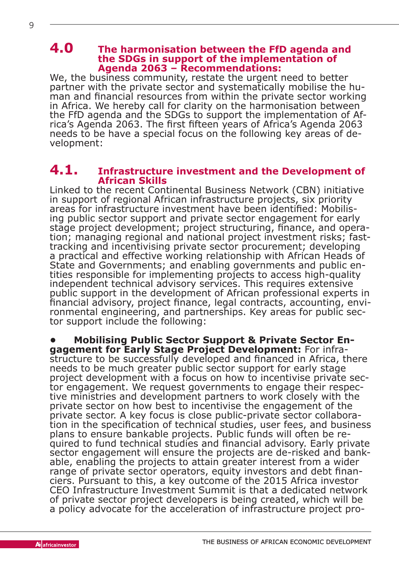#### **4.0 The harmonisation between the FfD agenda and the SDGs in support of the implementation of Agenda 2063 – Recommendations:**

We, the business community, restate the urgent need to better partner with the private sector and systematically mobilise the human and financial resources from within the private sector working in Africa. We hereby call for clarity on the harmonisation between the FfD agenda and the SDGs to support the implementation of Africa's Agenda 2063. The first fifteen years of Africa's Agenda 2063 needs to be have a special focus on the following key areas of development:

# **4.1. Infrastructure investment and the Development of African Skills**

Linked to the recent Continental Business Network (CBN) initiative in support of regional African infrastructure projects, six priority ing public sector support and private sector engagement for early stage project development; project structuring, finance, and operation; managing regional and national project investment risks; fasttracking and incentivising private sector procurement; developing a practical and effective working relationship with African Heads of State and Governments; and enabling governments and public entities responsible for implementing projects to access high-quality independent technical advisory services. This requires extensive public support in the development of African professional experts in financial advisory, project finance, legal contracts, accounting, environmental engineering, and partnerships. Key areas for public sector support include the following:

**Mobilising Public Sector Support & Private Sector Engagement for Early Stage Project Development:** For infrastructure to be successfully developed and financed in Africa, there needs to be much greater public sector support for early stage project development with a focus on how to incentivise private sector engagement. We request governments to engage their respective ministries and development partners to work closely with the private sector on how best to incentivise the engagement of the private sector. A key focus is close public-private sector collaboration in the specification of technical studies, user fees, and business plans to ensure bankable projects. Public funds will often be required to fund technical studies and financial advisory. Early private sector engagement will ensure the projects are de-risked and bankable, enabling the projects to attain greater interest from a wider range of private sector operators, equity investors and debt finan- ciers. Pursuant to this, a key outcome of the 2015 Africa investor CEO Infrastructure Investment Summit is that a dedicated network of private sector project developers is being created, which will be a policy advocate for the acceleration of infrastructure project pro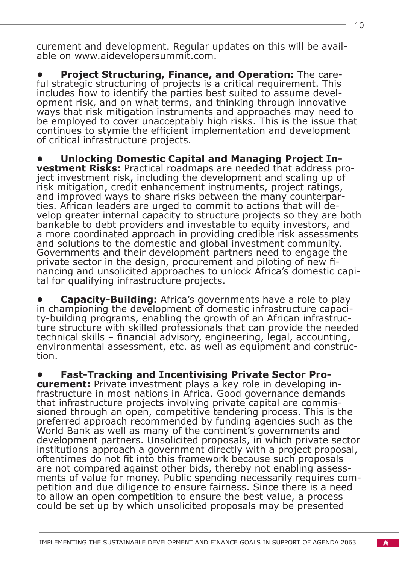curement and development. Regular updates on this will be available on www.aidevelopersummit.com.

**Project Structuring, Finance, and Operation:** The careful strategic structuring of projects is a critical requirement. This includes how to identify the parties best suited to assume development risk, and on what terms, and thinking through innovative ways that risk mitigation instruments and approaches may need to be employed to cover unacceptably high risks. This is the issue that continues to stymie the efficient implementation and development of critical infrastructure projects.

**Unlocking Domestic Capital and Managing Project Investment Risks:** Practical roadmaps are needed that address project investment risk, including the development and scaling up of risk mitigation, credit enhancement instruments, project ratings, and improved ways to share risks between the many counterparties. African leaders are urged to commit to actions that will develop greater internal capacity to structure projects so they are both bankable to debt providers and investable to equity investors, and a more coordinated approach in providing credible risk assessments and solutions to the domestic and global investment community. Governments and their development partners need to engage the private sector in the design, procurement and piloting of new financing and unsolicited approaches to unlock Africa's domestic capi-<br>tal for qualifying infrastructure projects.

**• Capacity-Building:** Africa's governments have a role to play in championing the development of domestic infrastructure capacity-building programs, enabling the growth of an African infrastruc-<br>ture structure with skilled professionals that can provide the needed technical skills – financial advisory, engineering, legal, accounting, environmental assessment, etc. as well as equipment and construc- tion.

**• Fast-Tracking and Incentivising Private Sector Pro- curement:** Private investment plays a key role in developing infrastructure in most nations in Africa. Good governance demands that infrastructure projects involving private capital are commis- sioned through an open, competitive tendering process. This is the preferred approach recommended by funding agencies such as the World Bank as well as many of the continent's governments and development partners. Unsolicited proposals, in which private sector institutions approach a government directly with a project proposal, oftentimes do not fit into this framework because such proposals are not compared against other bids, thereby not enabling assessments of value for money. Public spending necessarily requires competition and due diligence to ensure fairness. Since there is a need to allow an open competition to ensure the best value, a process could be set up by which unsolicited proposals may be presented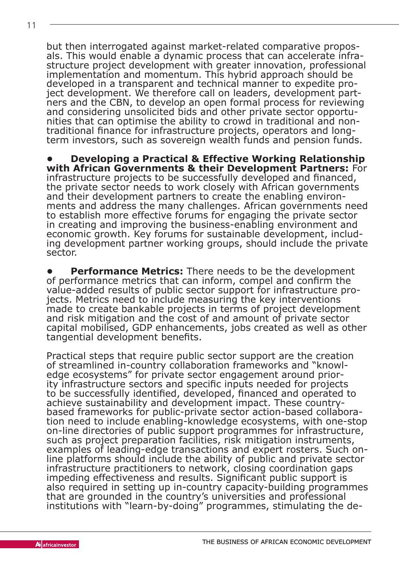but then interrogated against market-related comparative proposals. This would enable a dynamic process that can accelerate infrastructure project development with greater innovation, professional implementation and momentum. This hybrid approach should be developed in a transparent and technical manner to expedite project development. We therefore call on leaders, development partners and the CBN, to develop an open formal process for reviewing and considering unsolicited bids and other private sector opportunities that can optimise the ability to crowd in traditional and nontraditional finance for infrastructure projects, operators and longterm investors, such as sovereign wealth funds and pension funds.

**• Developing a Practical & Effective Working Relationship with African Governments & their Development Partners:** For infrastructure projects to be successfully developed and financed, the private sector needs to work closely with African governments and their development partners to create the enabling environments and address the many challenges. African governments need to establish more effective forums for engaging the private sector in creating and improving the business-enabling environment and economic growth. Key forums for sustainable development, including development partner working groups, should include the private sector.

**Performance Metrics:** There needs to be the development of performance metrics that can inform, compel and confirm the value-added results of public sector support for infrastructure projects. Metrics need to include measuring the key interventions made to create bankable projects in terms of project development and risk mitigation and the cost of and amount of private sector capital mobilised, GDP enhancements, jobs created as well as other tangential development benefits.

Practical steps that require public sector support are the creation of streamlined in-country collaboration frameworks and "knowledge ecosystems" for private sector engagement around prior-<br>ity infrastructure sectors and specific inputs needed for projects to be successfully identified, developed, financed and operated to achieve sustainability and development impact. These countrybased frameworks for public-private sector action-based collabora- tion need to include enabling-knowledge ecosystems, with one-stop on-line directories of public support programmes for infrastructure, such as project preparation facilities, risk mitigation instruments, examples of leading-edge transactions and expert rosters. Such online platforms should include the ability of public and private sector infrastructure practitioners to network, closing coordination gaps impeding effectiveness and results. Significant public support is also required in setting up in-country capacity-building programmes that are grounded in the country's universities and professional institutions with "learn-by-doing" programmes, stimulating the de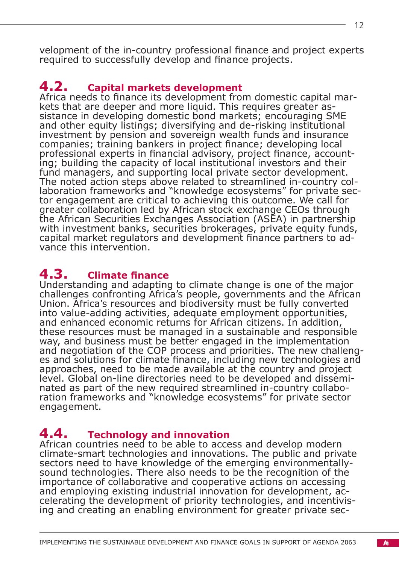velopment of the in-country professional finance and project experts required to successfully develop and finance projects.

**4.2. Capital markets development** kets that are deeper and more liquid. This requires greater as-<br>sistance in developing domestic bond markets; encouraging SME and other equity listings; diversifying and de-risking institutional investment by pension and sovereign wealth funds and insurance companies; training bankers in project finance; developing local professional experts in financial advisory, project finance, account- ing; building the capacity of local institutional investors and their fund managers, and supporting local private sector development.<br>The noted action steps above related to streamlined in-country collaboration frameworks and "knowledge ecosystems" for private sec-<br>tor engagement are critical to achieving this outcome. We call for greater collaboration led by African stock exchange CEOs through the African Securities Exchanges Association (ASEA) in partnership with investment banks, securities brokerages, private equity funds, capital market regulators and development finance partners to ad- vance this intervention.

## **4.3. Climate finance**

Understanding and adapting to climate change is one of the major challenges confronting Africa's people, governments and the African Union. Africa's resources and biodiversity must be fully converted into value-adding activities, adequate employment opportunities, and enhanced economic returns for African citizens. In addition, these resources must be managed in a sustainable and responsible way, and business must be better engaged in the implementation and negotiation of the COP process and priorities. The new challenges and solutions for climate finance, including new technologies and approaches, need to be made available at the country and project<br>level. Global on-line directories need to be developed and disseminated as part of the new required streamlined in-country collaboration frameworks and "knowledge ecosystems" for private sector engagement.

## **4.4. Technology and innovation**

African countries need to be able to access and develop modern climate-smart technologies and innovations. The public and private sectors need to have knowledge of the emerging environmentallysound technologies. There also needs to be the recognition of the importance of collaborative and cooperative actions on accessing and employing existing industrial innovation for development, accelerating the development of priority technologies, and incentivising and creating an enabling environment for greater private sec-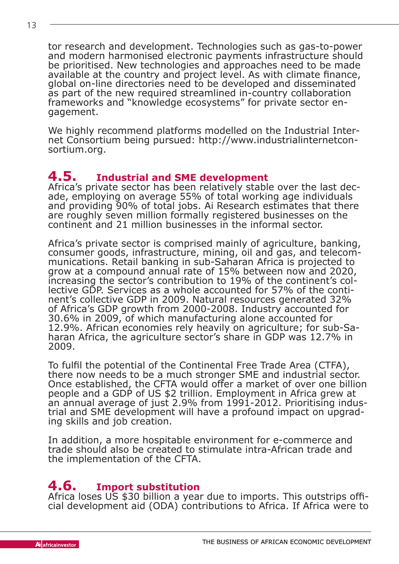tor research and development. Technologies such as gas-to-power and modern harmonised electronic payments infrastructure should be prioritised. New technologies and approaches need to be made available at the country and project level. As with climate finance, global on-line directories need to be developed and disseminated as part of the new required streamlined in-country collaboration frameworks and "knowledge ecosystems" for private sector engagement.

We highly recommend platforms modelled on the Industrial Internet Consortium being pursued: http://www.industrialinternetconsortium.org.

## **4.5. Industrial and SME development**

Africa's private sector has been relatively stable over the last decade, employing on average 55% of total working age individuals and providing 90% of total jobs. Ai Research estimates that there are roughly seven million formally registered businesses on the continent and 21 million businesses in the informal sector.

Africa's private sector is comprised mainly of agriculture, banking, consumer goods, infrastructure, mining, oil and gas, and telecommunications. Retail banking in sub-Saharan Africa is projected to grow at a compound annual rate of 15% between now and 2020, increasing the sector's contribution to 19% of the continent's collective GDP. Services as a whole accounted for 57% of the conti-<br>nent's collective GDP in 2009. Natural resources generated 32% of Africa's GDP growth from 2000-2008. Industry accounted for 30.6% in 2009, of which manufacturing alone accounted for<br>12.9%. African economies rely heavily on agriculture; for sub-Saharan Africa, the agriculture sector's share in GDP was 12.7% in 2009.

To fulfil the potential of the Continental Free Trade Area (CTFA), there now needs to be a much stronger SME and industrial sector. Once established, the CFTA would offer a market of over one billion people and a GDP of US \$2 trillion. Employment in Africa grew at trial and SME development will have a profound impact on upgrad-<br>ing skills and job creation.

In addition, a more hospitable environment for e-commerce and trade should also be created to stimulate intra-African trade and the implementation of the CFTA.

### **4.6. Import substitution**

Africa loses US \$30 billion a year due to imports. This outstrips official development aid (ODA) contributions to Africa. If Africa were to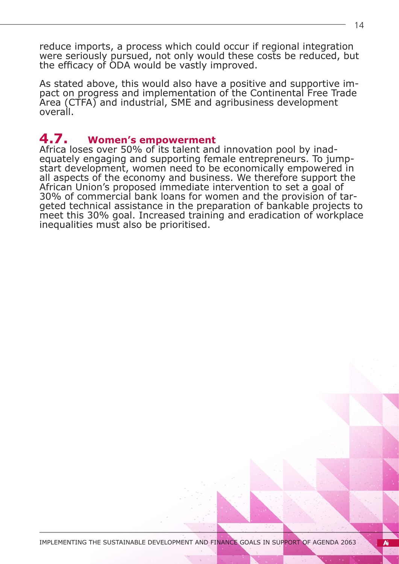reduce imports, a process which could occur if regional integration were seriously pursued, not only would these costs be reduced, but the efficacy of ODA would be vastly improved.

As stated above, this would also have a positive and supportive impact on progress and implementation of the Continental Free Trade Area (CTFA) and industrial, SME and agribusiness development overall.

## **4.7. Women's empowerment**

Africa loses over 50% of its talent and innovation pool by inadequately engaging and supporting female entrepreneurs. To jumpstart development, women need to be economically empowered in all aspects of the economy and business. We therefore support the African Union's proposed immediate intervention to set a goal of 30% of commercial bank loans for women and the provision of targeted technical assistance in the preparation of bankable projects to meet this 30% goal. Increased training and eradication of workplace inequalities must also be prioritised.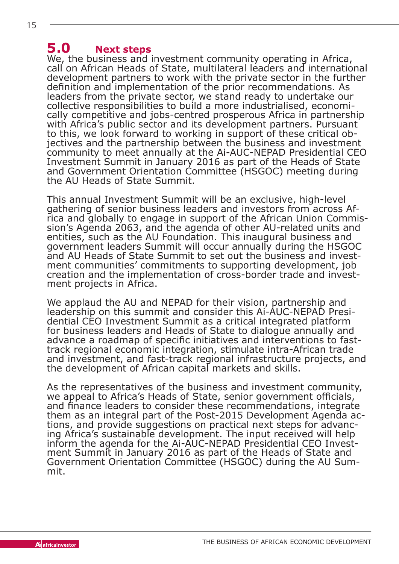## **5.0 Next steps**

We, the business and investment community operating in Africa, call on African Heads of State, multilateral leaders and international development partners to work with the private sector in the further definition and implementation of the prior recommendations. As leaders from the private sector, we stand ready to undertake our collective responsibilities to build a more industrialised, economically competitive and jobs-centred prosperous Africa in partnership with Africa's public sector and its development partners. Pursuant to this, we look forward to working in support of these critical objectives and the partnership between the business and investment community to meet annually at the Ai-AUC-NEPAD Presidential CEO Investment Summit in January 2016 as part of the Heads of State and Government Orientation Committee (HSGOC) meeting during the AU Heads of State Summit.

This annual Investment Summit will be an exclusive, high-level rica and globally to engage in support of the African Union Commission's Agenda 2063, and the agenda of other AU-related units and entities, such as the AU Foundation. This inaugural business and government leaders Summit will occur annually during the HSGOC and AU Heads of State Summit to set out the business and investment communities' commitments to supporting development, job creation and the implementation of cross-border trade and investment projects in Africa.

We applaud the AU and NEPAD for their vision, partnership and leadership on this summit and consider this Ai-AUC-NEPAD Presidential CEO Investment Summit as a critical integrated platform for business leaders and Heads of State to dialogue annually and advance a roadmap of specific initiatives and interventions to fasttrack regional economic integration, stimulate intra-African trade and investment, and fast-track regional infrastructure projects, and the development of African capital markets and skills.

As the representatives of the business and investment community, we appeal to Africa's Heads of State, senior government officials, and finance leaders to consider these recommendations, integrate them as an integral part of the Post-2015 Development Agenda actions, and provide suggestions on practical next steps for advanc-<br>ing Africa's sustainable development. The input received will help<br>inform the agenda for the Ai-AUC-NEPAD Presidential CEO Investment Summit in January 2016 as part of the Heads of State and Government Orientation Committee (HSGOC) during the AU Sum- mit.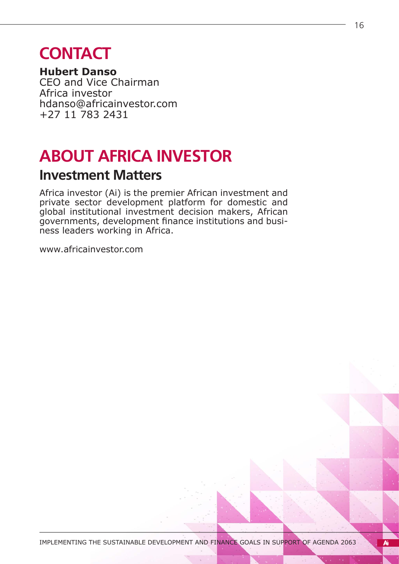# **CONTACT**

#### **Hubert Danso**

CEO and Vice Chairman Africa investor hdanso@africainvestor.com +27 11 783 2431

# **ABOUT AFRICA INVESTOR**

## **Investment Matters**

Africa investor (Ai) is the premier African investment and private sector development platform for domestic and global institutional investment decision makers, African governments, development finance institutions and business leaders working in Africa.

www.africainvestor.com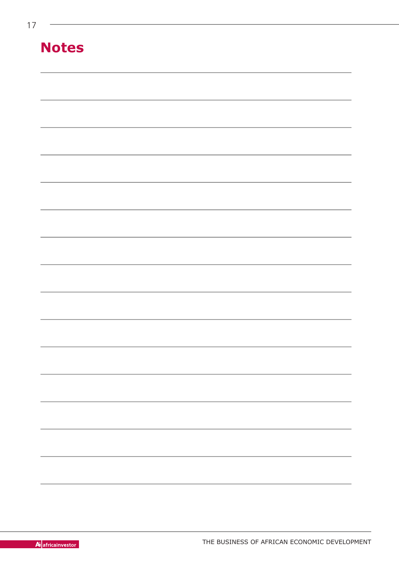| <b>Notes</b> |  |  |
|--------------|--|--|
|              |  |  |
|              |  |  |
|              |  |  |
|              |  |  |
|              |  |  |
|              |  |  |
|              |  |  |
|              |  |  |
|              |  |  |
|              |  |  |
|              |  |  |
|              |  |  |
|              |  |  |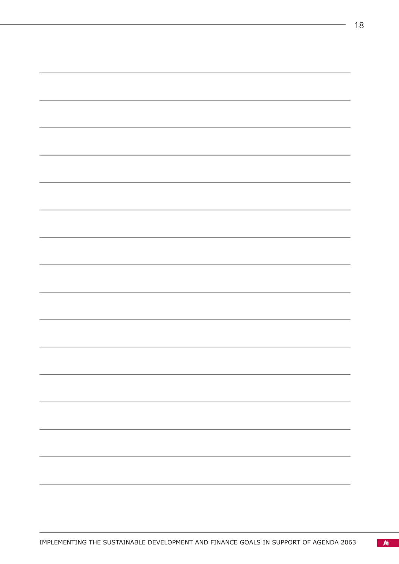| ,我们也不会有什么?""我们的人,我们也不会不会不会。""我们的人,我们也不会不会不会。""我们的人,我们也不会不会不会。""我们的人,我们的人,我们的人,我们 |  |
|----------------------------------------------------------------------------------|--|
|                                                                                  |  |
|                                                                                  |  |
|                                                                                  |  |
|                                                                                  |  |
|                                                                                  |  |
|                                                                                  |  |
|                                                                                  |  |
|                                                                                  |  |
|                                                                                  |  |
|                                                                                  |  |
|                                                                                  |  |
|                                                                                  |  |
|                                                                                  |  |

18